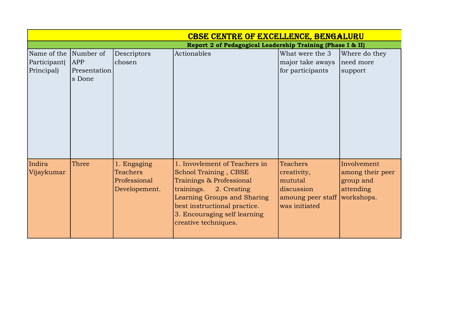|                       |                        |                 | <b>CBSE CENTRE OF EXCELLENCE, BENGALURU</b>                |                              |                  |
|-----------------------|------------------------|-----------------|------------------------------------------------------------|------------------------------|------------------|
|                       |                        |                 | Report 2 of Pedagogical Leadership Training (Phase I & II) |                              |                  |
| Name of the Number of |                        | Descriptors     | Actionables                                                | What were the 3              | Where do they    |
| Participant(          | <b>APP</b>             | chosen          |                                                            | major take aways             | need more        |
| Principal)            | Presentation<br>s Done |                 |                                                            | for participants             | support          |
|                       |                        |                 |                                                            |                              |                  |
| Indira                | Three                  | 1. Engaging     | 1. Invovlement of Teachers in                              | <b>Teachers</b>              | Involvement      |
| Vijaykumar            |                        | <b>Teachers</b> | <b>School Training, CBSE</b>                               | creativity,                  | among their peer |
|                       |                        | Professional    | Trainings & Professional                                   | mututal                      | group and        |
|                       |                        | Developement.   | trainings.<br>2. Creating                                  | discussion                   | attending        |
|                       |                        |                 | Learning Groups and Sharing                                | amoung peer staff workshops. |                  |
|                       |                        |                 | best instructional practice.                               | was initiated                |                  |
|                       |                        |                 | 3. Encouraging self learning                               |                              |                  |
|                       |                        |                 | creative techniques.                                       |                              |                  |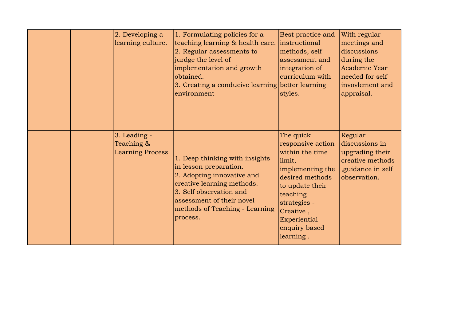|  | 2. Developing a<br>learning culture.                  | 1. Formulating policies for a<br>teaching learning & health care.<br>2. Regular assessments to<br>jurdge the level of<br>implementation and growth<br>obtained.<br>3. Creating a conducive learning better learning<br>environment | Best practice and<br>instructional<br>methods, self<br>assessment and<br>integration of<br>curriculum with<br>styles.                                                                                        | With regular<br>meetings and<br>discussions<br>during the<br>Academic Year<br>needed for self<br>invovlement and<br>appraisal. |
|--|-------------------------------------------------------|------------------------------------------------------------------------------------------------------------------------------------------------------------------------------------------------------------------------------------|--------------------------------------------------------------------------------------------------------------------------------------------------------------------------------------------------------------|--------------------------------------------------------------------------------------------------------------------------------|
|  | 3. Leading -<br>Teaching &<br><b>Learning Process</b> | 1. Deep thinking with insights<br>in lesson preparation.<br>2. Adopting innovative and<br>creative learning methods.<br>3. Self observation and<br>assessment of their novel<br>methods of Teaching - Learning<br>process.         | The quick<br>responsive action<br>within the time<br>limit,<br>implementing the<br>desired methods<br>to update their<br>teaching<br>strategies -<br>Creative,<br>Experiential<br>enquiry based<br>learning. | Regular<br>discussions in<br>upgrading their<br>creative methods<br>, guidance in self<br>observation.                         |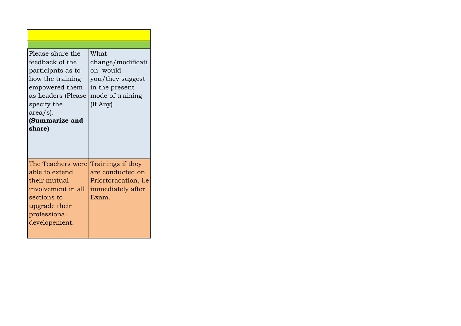| Please share the<br>lfeedback of the<br>participnts as to<br>how the training<br>empowered them<br>as Leaders (Please<br>specify the<br>$\vert \text{area/s} \vert$ .<br>(Summarize and<br>share) | What<br>change/modificati<br>on would<br>you/they suggest<br>in the present<br>mode of training<br>(If Any) |
|---------------------------------------------------------------------------------------------------------------------------------------------------------------------------------------------------|-------------------------------------------------------------------------------------------------------------|
| The Teachers were Trainings if they<br>able to extend<br>their mutual<br>involvement in all<br>sections to                                                                                        | are conducted on<br>Priortoracation, <i>i.e</i><br>immediately after                                        |